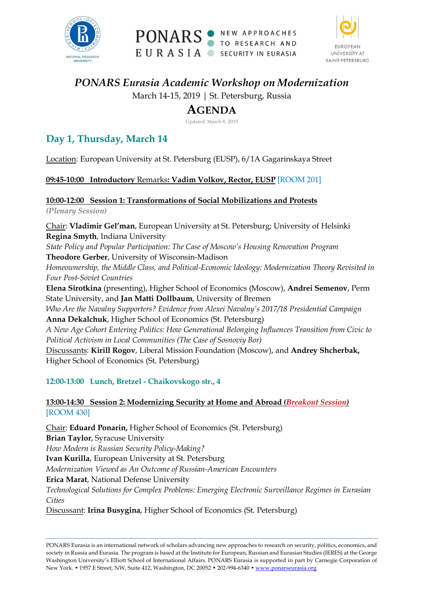





# *PONARS Eurasia Academic Workshop on Modernization*

March 14-15, 2019 | St. Petersburg, Russia

# **AGENDA**

Updated: March 8, 2019

# **Day 1, Thursday, March 14**

Location: European University at St. Petersburg (EUSP), 6/1А Gagarinskaya Street

**09:45-10:00 Introductory** Remarks**: Vadim Volkov, Rector, EUSP** [ROOM 201]

**10:00-12:00 Session 1: Transformations of Social Mobilizations and Protests** *(Plenary Session)*

Chair: **Vladimir Gel'man**, European University at St. Petersburg; University of Helsinki **Regina Smyth**, Indiana University

*State Policy and Popular Participation: The Case of Moscow's Housing Renovation Program* **Theodore Gerber**, University of Wisconsin-Madison

*Homeownership, the Middle Class, and Political-Economic Ideology: Modernization Theory Revisited in Four Post-Soviet Countries*

**Elena Sirotkina** (presenting), Higher School of Economics (Moscow), **Andrei Semenov**, Perm State University, and **Jan Matti Dollbaum**, University of Bremen *Who Are the Navalny Supporters? Evidence from Alexei Navalny's 2017/18 Presidential Campaign* **Anna Dekalchuk**, Higher School of Economics (St. Petersburg)

*A New Age Cohort Entering Politics: How Generational Belonging Influences Transition from Civic to Political Activism in Local Communities (The Case of Sosnoviy Bor)*

Discussants: **Kirill Rogov**, Liberal Mission Foundation (Moscow), and **Andrey Shcherbak,**  Higher School of Economics (St. Petersburg)

**12:00-13:00 Lunch, Bretzel - Chaikovskogo str., 4**

### **13:00-14:30 Session 2: Modernizing Security at Home and Abroad** *(Breakout Session)* [ROOM 430]

Chair: **Eduard Ponarin,** Higher School of Economics (St. Petersburg) **Brian Taylor**, Syracuse University *How Modern is Russian Security Policy-Making?* **Ivan Kurilla**, European University at St. Petersburg *Modernization Viewed as An Outcome of Russian-American Encounters* **Erica Marat**, National Defense University

*Technological Solutions for Complex Problems: Emerging Electronic Surveillance Regimes in Eurasian Cities*

Discussant: **Irina Busygina**, Higher School of Economics (St. Petersburg)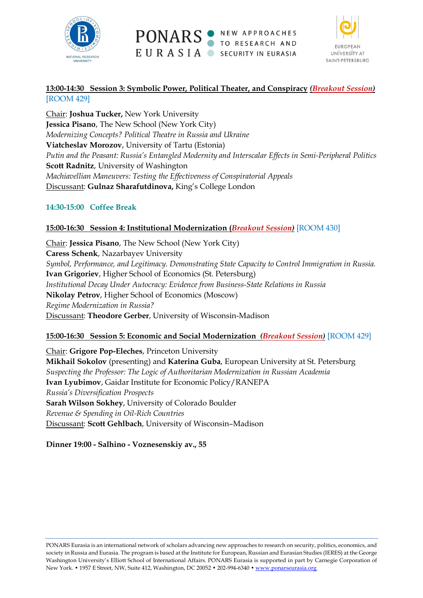

PONARS ONEW APPROACHES EURASIA SECURITY IN EURASIA



### **13:00-14:30 Session 3: Symbolic Power, Political Theater, and Conspiracy** *(Breakout Session)* [ROOM 429]

Chair: **Joshua Tucker,** New York University **Jessica Pisano**, The New School (New York City) *Modernizing Concepts? Political Theatre in Russia and Ukraine* **Viatcheslav Morozov**, University of Tartu (Estonia) *Putin and the Peasant: Russia's Entangled Modernity and Interscalar Effects in Semi-Peripheral Politics* **Scott Radnitz**, University of Washington *Machiavellian Maneuvers: Testing the Effectiveness of Conspiratorial Appeals* Discussant: **Gulnaz Sharafutdinova,** King's College London

### **14:30-15:00 Coffee Break**

#### **15:00-16:30 Session 4: Institutional Modernization (***Breakout Session)* [ROOM 430]

Chair: **Jessica Pisano**, The New School (New York City) **Caress Schenk**, Nazarbayev University *Symbol, Performance, and Legitimacy. Demonstrating State Capacity to Control Immigration in Russia.*  **Ivan Grigoriev**, Higher School of Economics (St. Petersburg) *Institutional Decay Under Autocracy: Evidence from Business-State Relations in Russia* **Nikolay Petrov**, Higher School of Economics (Moscow) *Regime Modernization in Russia?* Discussant: **Theodore Gerber**, University of Wisconsin-Madison

#### **15:00-16:30 Session 5: Economic and Social Modernization** *(Breakout Session)* [ROOM 429]

Chair: **Grigore Pop-Eleches**, Princeton University **Mikhail Sokolov** (presenting) and **Katerina Guba**, European University at St. Petersburg *Suspecting the Professor: The Logic of Authoritarian Modernization in Russian Academia* **Ivan Lyubimov**, Gaidar Institute for Economic Policy/RANEPA *Russia's Diversification Prospects* **Sarah Wilson Sokhey**, University of Colorado Boulder *Revenue & Spending in Oil-Rich Countries* Discussant: **Scott Gehlbach**, University of Wisconsin–Madison

#### **Dinner 19:00 - Salhino - Voznesenskiy av., 55**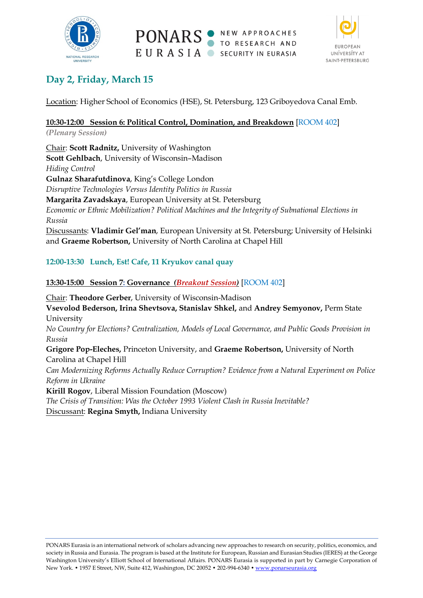

PONARS . NEW APPROACHES TO RESEARCH AND EURASIA SECURITY IN EURASIA



# **Day 2, Friday, March 15**

Location: Higher School of Economics (HSE), St. Petersburg, 123 Griboyedova Canal Emb.

## **10:30-12:00 Session 6: Political Control, Domination, and Breakdown** [ROOM 402]

*(Plenary Session)*

Chair: **Scott Radnitz,** University of Washington **Scott Gehlbach**, University of Wisconsin–Madison *Hiding Control* **Gulnaz Sharafutdinova**, King's College London *Disruptive Technologies Versus Identity Politics in Russia* **Margarita Zavadskaya**, European University at St. Petersburg *Economic or Ethnic Mobilization? Political Machines and the Integrity of Subnational Elections in Russia* Discussants: **Vladimir Gel'man**, European University at St. Petersburg; University of Helsinki and **Graeme Robertson,** University of North Carolina at Chapel Hill

### **12:00-13:30 Lunch, Est! Cafe, 11 Kryukov canal quay**

**13:30-15:00 Session 7: Governance** *(Breakout Session)* [ROOM 402]

Chair: **Theodore Gerber**, University of Wisconsin-Madison **Vsevolod Bederson, Irina Shevtsova, Stanislav Shkel,** and **Andrey Semyonov,** Perm State **University** *No Country for Elections? Centralization, Models of Local Governance, and Public Goods Provision in Russia* **Grigore Pop-Eleches,** Princeton University, and **Graeme Robertson,** University of North Carolina at Chapel Hill *Can Modernizing Reforms Actually Reduce Corruption? Evidence from a Natural Experiment on Police Reform in Ukraine* **Kirill Rogov**, Liberal Mission Foundation (Moscow) *The Crisis of Transition: Was the October 1993 Violent Clash in Russia Inevitable?* Discussant: **Regina Smyth,** Indiana University